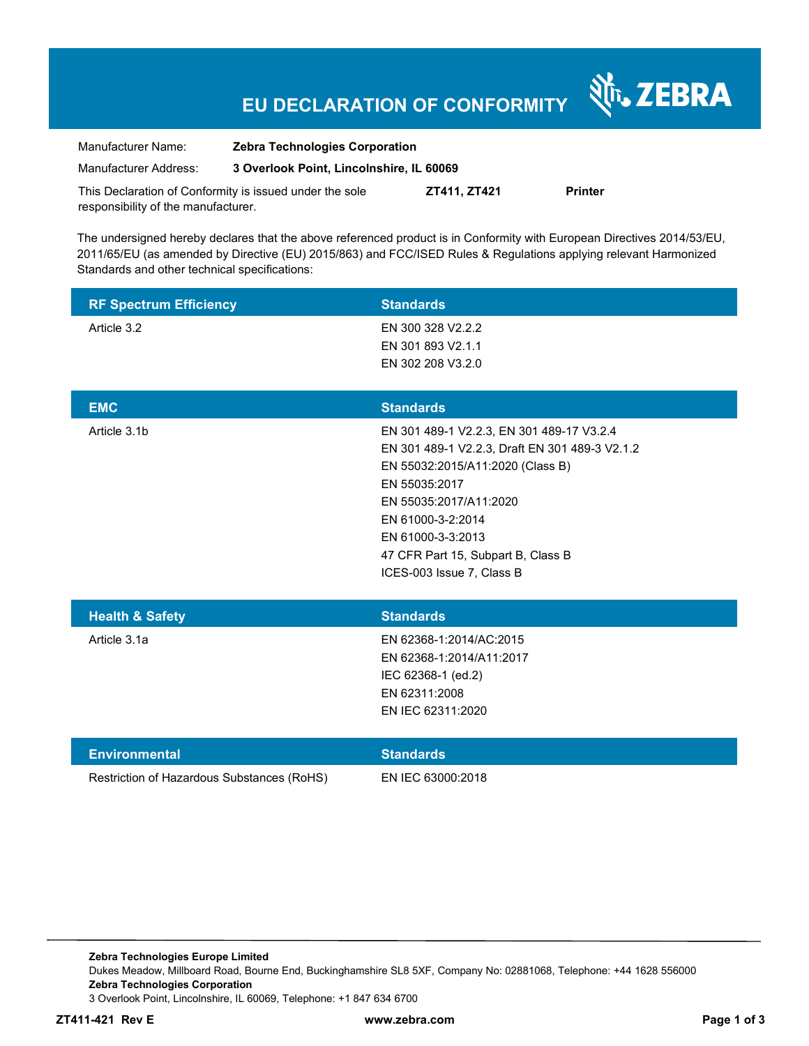# **EU DECLARATION OF CONFORMITY**

Nr. ZEBRA

| Manufacturer Name:                                      | <b>Zebra Technologies Corporation</b>    |              |         |  |  |
|---------------------------------------------------------|------------------------------------------|--------------|---------|--|--|
| Manufacturer Address:                                   | 3 Overlook Point, Lincolnshire, IL 60069 |              |         |  |  |
| This Declaration of Conformity is issued under the sole |                                          | ZT411. ZT421 | Printer |  |  |

responsibility of the manufacturer.

The undersigned hereby declares that the above referenced product is in Conformity with European Directives 2014/53/EU, 2011/65/EU (as amended by Directive (EU) 2015/863) and FCC/ISED Rules & Regulations applying relevant Harmonized Standards and other technical specifications:

| <b>RF Spectrum Efficiency</b>              | <b>Standards</b>                               |
|--------------------------------------------|------------------------------------------------|
| Article 3.2                                | EN 300 328 V2.2.2                              |
|                                            | EN 301 893 V2.1.1                              |
|                                            | EN 302 208 V3.2.0                              |
|                                            |                                                |
| <b>EMC</b>                                 | <b>Standards</b>                               |
| Article 3.1b                               | EN 301 489-1 V2.2.3, EN 301 489-17 V3.2.4      |
|                                            | EN 301 489-1 V2.2.3, Draft EN 301 489-3 V2.1.2 |
|                                            | EN 55032:2015/A11:2020 (Class B)               |
|                                            | EN 55035:2017                                  |
|                                            | EN 55035:2017/A11:2020                         |
|                                            | EN 61000-3-2:2014                              |
|                                            | EN 61000-3-3:2013                              |
|                                            | 47 CFR Part 15, Subpart B, Class B             |
|                                            | ICES-003 Issue 7, Class B                      |
|                                            |                                                |
| <b>Health &amp; Safety</b>                 | <b>Standards</b>                               |
| Article 3.1a                               | EN 62368-1:2014/AC:2015                        |
|                                            | EN 62368-1:2014/A11:2017                       |
|                                            | IEC 62368-1 (ed.2)                             |
|                                            | EN 62311:2008                                  |
|                                            | EN IEC 62311:2020                              |
|                                            |                                                |
| <b>Environmental</b>                       | <b>Standards</b>                               |
| Restriction of Hazardous Substances (RoHS) | EN IEC 63000:2018                              |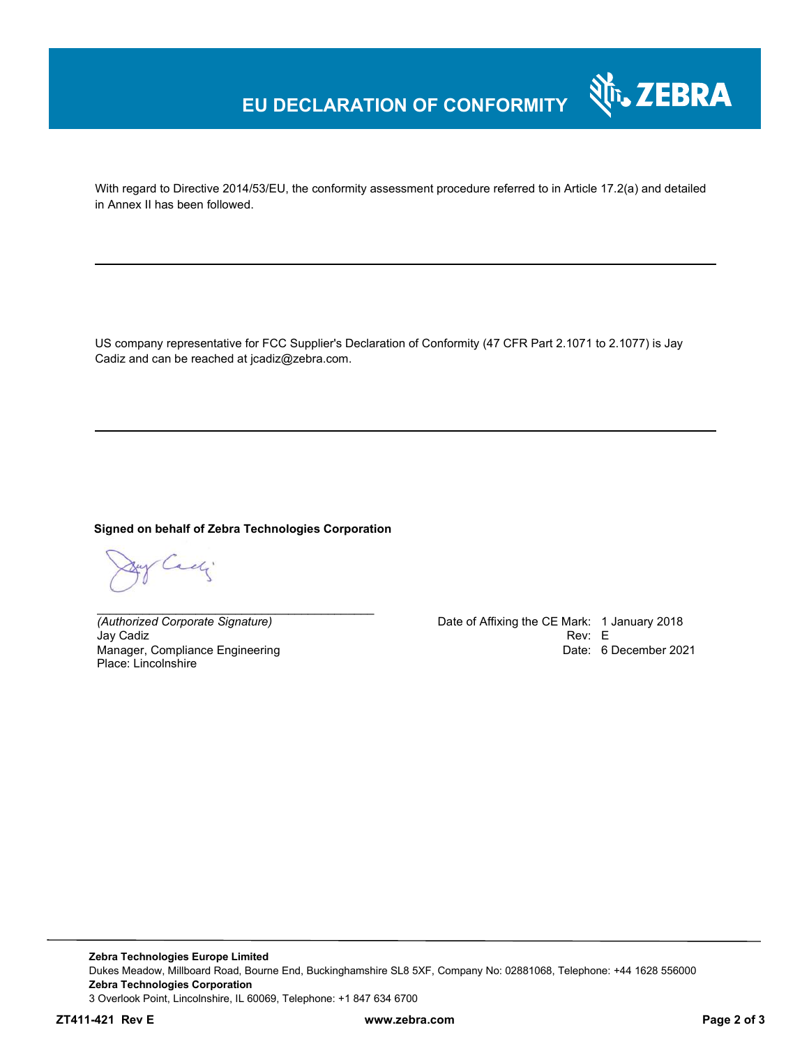## **EU DECLARATION OF CONFORMITY**

With regard to Directive 2014/53/EU, the conformity assessment procedure referred to in Article 17.2(a) and detailed in Annex II has been followed.

US company representative for FCC Supplier's Declaration of Conformity (47 CFR Part 2.1071 to 2.1077) is Jay Cadiz and can be reached at jcadiz@zebra.com.

#### **Signed on behalf of Zebra Technologies Corporation**

*\_\_\_\_\_\_\_\_\_\_\_\_\_\_\_\_\_\_\_\_\_\_\_\_\_\_\_\_\_\_\_\_\_\_\_\_\_\_\_\_\_\_*

adj

Jay Cadiz Rev: E Manager, Compliance Engineering Place: Lincolnshire

*(Authorized Corporate Signature)* Date of Affixing the CE Mark: 1 January 2018 Date: 6 December 2021

र्शे<sub>ं</sub> ZEBRA

**Zebra Technologies Europe Limited**  Dukes Meadow, Millboard Road, Bourne End, Buckinghamshire SL8 5XF, Company No: 02881068, Telephone: +44 1628 556000 **Zebra Technologies Corporation**  3 Overlook Point, Lincolnshire, IL 60069, Telephone: +1 847 634 6700